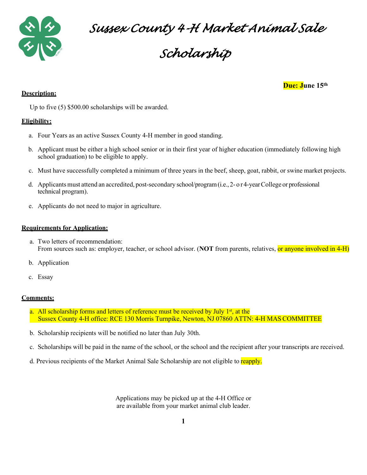

*Sussex County 4-H Market Animal Sale* 

# *Scholarship*

**Due: June 15th**

Up to five (5) \$500.00 scholarships will be awarded.

### **Eligibility:**

**Description:**

- a. Four Years as an active Sussex County 4-H member in good standing.
- b. Applicant must be either a high school senior or in their first year of higher education (immediately following high school graduation) to be eligible to apply.
- c. Must have successfully completed a minimum of three years in the beef, sheep, goat, rabbit, or swine market projects.
- d. Applicants must attend an accredited, post-secondary school/program (i.e., 2- o r 4-year College or professional technical program).
- e. Applicants do not need to major in agriculture.

#### **Requirements for Application:**

- a. Two letters of recommendation: From sources such as: employer, teacher, or school advisor. (**NOT** from parents, relatives, or anyone involved in 4-H)
- b. Application
- c. Essay

#### **Comments:**

- a. All scholarship forms and letters of reference must be received by July  $1<sup>st</sup>$ , at the Sussex County 4-H office: RCE 130 Morris Turnpike, Newton, NJ 07860 ATTN: 4-H MAS COMMITTEE
- b. Scholarship recipients will be notified no later than July 30th.
- c. Scholarships will be paid in the name of the school, or the school and the recipient after your transcripts are received.
- d. Previous recipients of the Market Animal Sale Scholarship are not eligible to reapply.

Applications may be picked up at the 4-H Office or are available from your market animal club leader.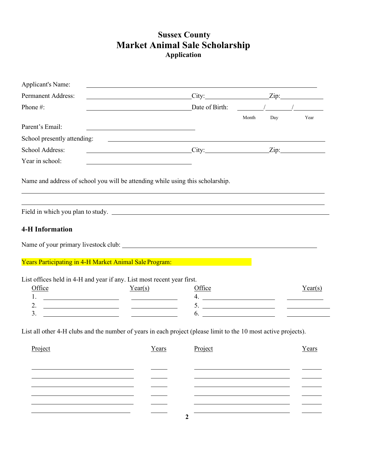### **Sussex County Market Animal Sale Scholarship Application**

| Permanent Address:<br>$City:$ $Zip:$<br>$\frac{1}{2}$ Date of Birth: $\frac{1}{2}$ /<br>Phone #:<br>Year<br>Month<br>Day<br>Parent's Email:<br><u> 1989 - Johann Barbara, martin amerikan basar dan berasal dalam basar dalam basar dalam basar dalam basar dala</u><br>School presently attending:<br><u> Territoria de la contrada de la contrada de la contrada de la contrada de la contrada de la contrada de la c</u><br>School Address:<br>$City:$ $Zip:$<br>Year in school:<br>Name and address of school you will be attending while using this scholarship.<br>,我们也不能会有一个人的事情。""我们的人,我们也不能会有一个人的人,我们也不能会有一个人的人,我们也不能会有一个人的人。""我们的人,我们也不能会有一个人的人,<br>Field in which you plan to study.<br><b>4-H Information</b><br><b>The Vears Participating in 4-H Market Animal Sale Program:</b> And The Contract of the Contract of The Contract of<br>List offices held in 4-H and year if any. List most recent year first.<br>Office<br>Year(s)<br>Office<br>4. $\overline{\phantom{a}1}$<br>2. $\qquad \qquad$<br>5. $\qquad \qquad$<br><u> 1990 - Johann Harry Harry Harry Harry Harry Harry Harry Harry Harry Harry Harry Harry Harry Harry Harry Harry</u><br>$6.$ $\overline{\phantom{a}}$<br>3.<br>List all other 4-H clubs and the number of years in each project (please limit to the 10 most active projects).<br>Project<br><u>Years Project</u><br>Years |  |  |         |
|------------------------------------------------------------------------------------------------------------------------------------------------------------------------------------------------------------------------------------------------------------------------------------------------------------------------------------------------------------------------------------------------------------------------------------------------------------------------------------------------------------------------------------------------------------------------------------------------------------------------------------------------------------------------------------------------------------------------------------------------------------------------------------------------------------------------------------------------------------------------------------------------------------------------------------------------------------------------------------------------------------------------------------------------------------------------------------------------------------------------------------------------------------------------------------------------------------------------------------------------------------------------------------------------------------------------------------------------------------------------|--|--|---------|
|                                                                                                                                                                                                                                                                                                                                                                                                                                                                                                                                                                                                                                                                                                                                                                                                                                                                                                                                                                                                                                                                                                                                                                                                                                                                                                                                                                        |  |  |         |
|                                                                                                                                                                                                                                                                                                                                                                                                                                                                                                                                                                                                                                                                                                                                                                                                                                                                                                                                                                                                                                                                                                                                                                                                                                                                                                                                                                        |  |  |         |
|                                                                                                                                                                                                                                                                                                                                                                                                                                                                                                                                                                                                                                                                                                                                                                                                                                                                                                                                                                                                                                                                                                                                                                                                                                                                                                                                                                        |  |  |         |
|                                                                                                                                                                                                                                                                                                                                                                                                                                                                                                                                                                                                                                                                                                                                                                                                                                                                                                                                                                                                                                                                                                                                                                                                                                                                                                                                                                        |  |  |         |
|                                                                                                                                                                                                                                                                                                                                                                                                                                                                                                                                                                                                                                                                                                                                                                                                                                                                                                                                                                                                                                                                                                                                                                                                                                                                                                                                                                        |  |  |         |
|                                                                                                                                                                                                                                                                                                                                                                                                                                                                                                                                                                                                                                                                                                                                                                                                                                                                                                                                                                                                                                                                                                                                                                                                                                                                                                                                                                        |  |  |         |
|                                                                                                                                                                                                                                                                                                                                                                                                                                                                                                                                                                                                                                                                                                                                                                                                                                                                                                                                                                                                                                                                                                                                                                                                                                                                                                                                                                        |  |  |         |
|                                                                                                                                                                                                                                                                                                                                                                                                                                                                                                                                                                                                                                                                                                                                                                                                                                                                                                                                                                                                                                                                                                                                                                                                                                                                                                                                                                        |  |  |         |
|                                                                                                                                                                                                                                                                                                                                                                                                                                                                                                                                                                                                                                                                                                                                                                                                                                                                                                                                                                                                                                                                                                                                                                                                                                                                                                                                                                        |  |  |         |
|                                                                                                                                                                                                                                                                                                                                                                                                                                                                                                                                                                                                                                                                                                                                                                                                                                                                                                                                                                                                                                                                                                                                                                                                                                                                                                                                                                        |  |  |         |
|                                                                                                                                                                                                                                                                                                                                                                                                                                                                                                                                                                                                                                                                                                                                                                                                                                                                                                                                                                                                                                                                                                                                                                                                                                                                                                                                                                        |  |  |         |
|                                                                                                                                                                                                                                                                                                                                                                                                                                                                                                                                                                                                                                                                                                                                                                                                                                                                                                                                                                                                                                                                                                                                                                                                                                                                                                                                                                        |  |  |         |
|                                                                                                                                                                                                                                                                                                                                                                                                                                                                                                                                                                                                                                                                                                                                                                                                                                                                                                                                                                                                                                                                                                                                                                                                                                                                                                                                                                        |  |  | Year(s) |
|                                                                                                                                                                                                                                                                                                                                                                                                                                                                                                                                                                                                                                                                                                                                                                                                                                                                                                                                                                                                                                                                                                                                                                                                                                                                                                                                                                        |  |  |         |
|                                                                                                                                                                                                                                                                                                                                                                                                                                                                                                                                                                                                                                                                                                                                                                                                                                                                                                                                                                                                                                                                                                                                                                                                                                                                                                                                                                        |  |  |         |
|                                                                                                                                                                                                                                                                                                                                                                                                                                                                                                                                                                                                                                                                                                                                                                                                                                                                                                                                                                                                                                                                                                                                                                                                                                                                                                                                                                        |  |  |         |
|                                                                                                                                                                                                                                                                                                                                                                                                                                                                                                                                                                                                                                                                                                                                                                                                                                                                                                                                                                                                                                                                                                                                                                                                                                                                                                                                                                        |  |  |         |
|                                                                                                                                                                                                                                                                                                                                                                                                                                                                                                                                                                                                                                                                                                                                                                                                                                                                                                                                                                                                                                                                                                                                                                                                                                                                                                                                                                        |  |  |         |
|                                                                                                                                                                                                                                                                                                                                                                                                                                                                                                                                                                                                                                                                                                                                                                                                                                                                                                                                                                                                                                                                                                                                                                                                                                                                                                                                                                        |  |  |         |
|                                                                                                                                                                                                                                                                                                                                                                                                                                                                                                                                                                                                                                                                                                                                                                                                                                                                                                                                                                                                                                                                                                                                                                                                                                                                                                                                                                        |  |  |         |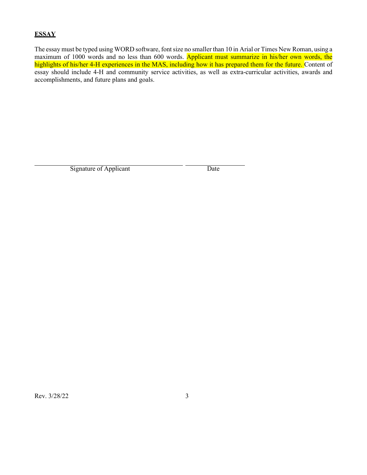### **ESSAY**

The essay must be typed using WORD software, fontsize no smaller than 10 in Arial or Times New Roman, using a maximum of 1000 words and no less than 600 words. Applicant must summarize in his/her own words, the highlights of his/her 4-H experiences in the MAS, including how it has prepared them for the future. Content of essay should include 4-H and community service activities, as well as extra-curricular activities, awards and accomplishments, and future plans and goals.

Signature of Applicant Date

Rev. 3/28/22 3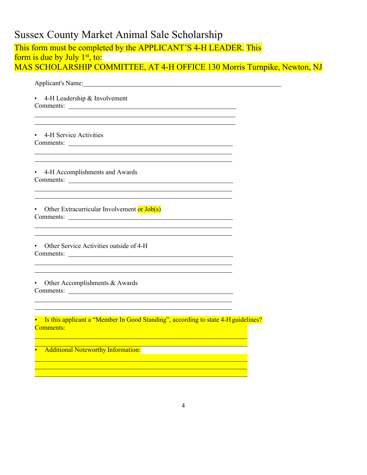### Sussex County Market Animal Sale Scholarship

|                  |                                           |                                             | Applicant's Name: Name: Name and Applicant's Name and Applicant's Name and Applicant is not all the Applicant of the Applicant of the Applicant of the Applicant of the Applicant of the Applicant of the Applicant of the App                  |  |  |
|------------------|-------------------------------------------|---------------------------------------------|-------------------------------------------------------------------------------------------------------------------------------------------------------------------------------------------------------------------------------------------------|--|--|
| $\bullet$        | 4-H Leadership & Involvement              |                                             |                                                                                                                                                                                                                                                 |  |  |
| $\bullet$        | 4-H Service Activities                    |                                             | <u> 1989 - Johann Stoff, deutscher Stoff, der Stoff, der Stoff, der Stoff, der Stoff, der Stoff, der Stoff, der S</u><br><u> 1989 - Johann Stoff, deutscher Stoffen und der Stoffen und der Stoffen und der Stoffen und der Stoffen und der</u> |  |  |
| $\bullet$        | 4-H Accomplishments and Awards            |                                             | <u> 1989 - Johann Stoff, amerikansk politiker (d. 1989)</u>                                                                                                                                                                                     |  |  |
|                  |                                           | Other Extracurricular Involvement or Job(s) | <u> 1989 - Johann Stoff, amerikansk politiker (d. 1989)</u><br>and the control of the control of the control of the control of the control of the control of the control of the                                                                 |  |  |
| $\bullet$        | Other Service Activities outside of 4-H   |                                             | <u> 1989 - Johann Stoff, deutscher Stoff, der Stoff, der Stoff, der Stoff, der Stoff, der Stoff, der Stoff, der S</u>                                                                                                                           |  |  |
| $\bullet$        | Other Accomplishments & Awards            |                                             | the control of the control of the control of the control of the control of the control of the control of the control of the control of the control of the control of the control of the control of the control of the control                   |  |  |
| <b>Comments:</b> |                                           |                                             | Is this applicant a "Member In Good Standing", according to state 4-H guidelines?                                                                                                                                                               |  |  |
|                  | <b>Additional Noteworthy Information:</b> |                                             |                                                                                                                                                                                                                                                 |  |  |